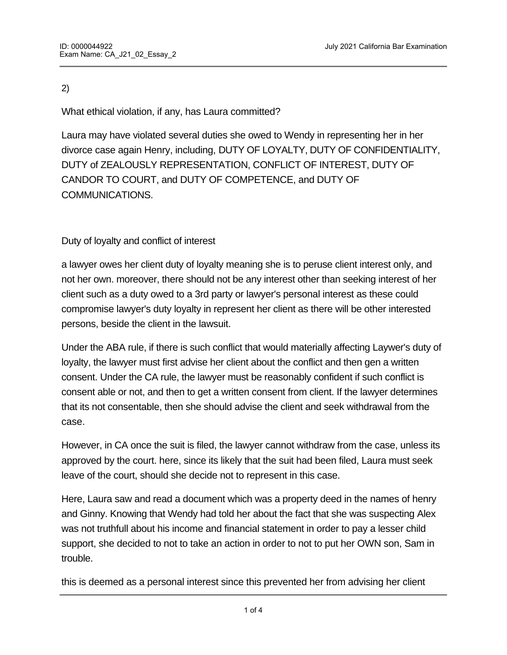## 2)

What ethical violation, if any, has Laura committed?

Laura may have violated several duties she owed to Wendy in representing her in her divorce case again Henry, including, DUTY OF LOYALTY, DUTY OF CONFIDENTIALITY, DUTY of ZEALOUSLY REPRESENTATION, CONFLICT OF INTEREST, DUTY OF CANDOR TO COURT, and DUTY OF COMPETENCE, and DUTY OF COMMUNICATIONS.

# Duty of loyalty and conflict of interest

a lawyer owes her client duty of loyalty meaning she is to peruse client interest only, and not her own. moreover, there should not be any interest other than seeking interest of her client such as a duty owed to a 3rd party or lawyer's personal interest as these could compromise lawyer's duty loyalty in represent her client as there will be other interested persons, beside the client in the lawsuit.

Under the ABA rule, if there is such conflict that would materially affecting Laywer's duty of loyalty, the lawyer must first advise her client about the conflict and then gen a written consent. Under the CA rule, the lawyer must be reasonably confident if such conflict is consent able or not, and then to get a written consent from client. If the lawyer determines that its not consentable, then she should advise the client and seek withdrawal from the case.

However, in CA once the suit is filed, the lawyer cannot withdraw from the case, unless its approved by the court. here, since its likely that the suit had been filed, Laura must seek leave of the court, should she decide not to represent in this case.

Here, Laura saw and read a document which was a property deed in the names of henry and Ginny. Knowing that Wendy had told her about the fact that she was suspecting Alex was not truthfull about his income and financial statement in order to pay a lesser child support, she decided to not to take an action in order to not to put her OWN son, Sam in trouble.

this is deemed as a personal interest since this prevented her from advising her client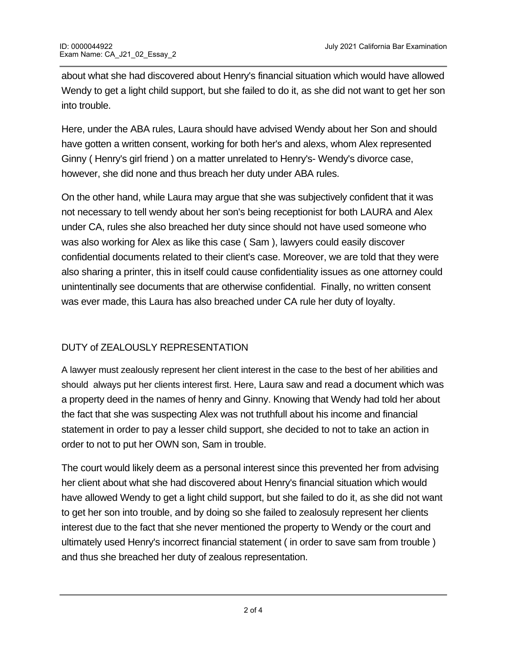about what she had discovered about Henry's financial situation which would have allowed Wendy to get a light child support, but she failed to do it, as she did not want to get her son into trouble.

Here, under the ABA rules, Laura should have advised Wendy about her Son and should have gotten a written consent, working for both her's and alexs, whom Alex represented Ginny ( Henry's girl friend ) on a matter unrelated to Henry's- Wendy's divorce case, however, she did none and thus breach her duty under ABA rules.

On the other hand, while Laura may argue that she was subjectively confident that it was not necessary to tell wendy about her son's being receptionist for both LAURA and Alex under CA, rules she also breached her duty since should not have used someone who was also working for Alex as like this case ( Sam ), lawyers could easily discover confidential documents related to their client's case. Moreover, we are told that they were also sharing a printer, this in itself could cause confidentiality issues as one attorney could unintentinally see documents that are otherwise confidential. Finally, no written consent was ever made, this Laura has also breached under CA rule her duty of loyalty.

# DUTY of ZEALOUSLY REPRESENTATION

A lawyer must zealously represent her client interest in the case to the best of her abilities and should always put her clients interest first. Here, Laura saw and read a document which was a property deed in the names of henry and Ginny. Knowing that Wendy had told her about the fact that she was suspecting Alex was not truthfull about his income and financial statement in order to pay a lesser child support, she decided to not to take an action in order to not to put her OWN son, Sam in trouble.

The court would likely deem as a personal interest since this prevented her from advising her client about what she had discovered about Henry's financial situation which would have allowed Wendy to get a light child support, but she failed to do it, as she did not want to get her son into trouble, and by doing so she failed to zealosuly represent her clients interest due to the fact that she never mentioned the property to Wendy or the court and ultimately used Henry's incorrect financial statement ( in order to save sam from trouble ) and thus she breached her duty of zealous representation.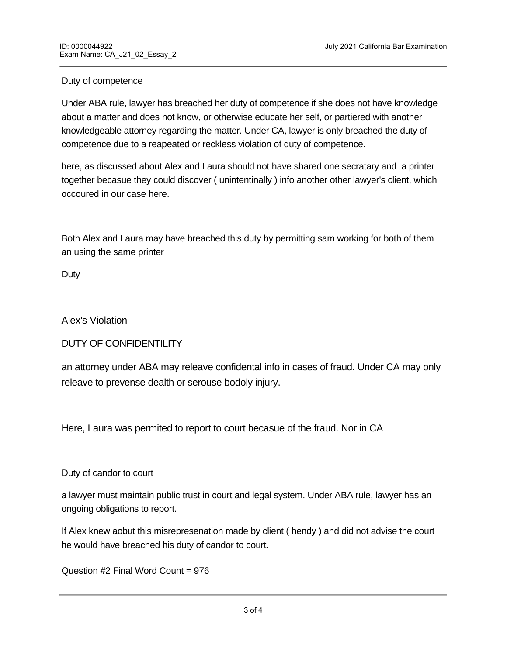#### Duty of competence

Under ABA rule, lawyer has breached her duty of competence if she does not have knowledge about a matter and does not know, or otherwise educate her self, or partiered with another knowledgeable attorney regarding the matter. Under CA, lawyer is only breached the duty of competence due to a reapeated or reckless violation of duty of competence.

here, as discussed about Alex and Laura should not have shared one secratary and a printer together becasue they could discover ( unintentinally ) info another other lawyer's client, which occoured in our case here.

Both Alex and Laura may have breached this duty by permitting sam working for both of them an using the same printer

Duty

Alex's Violation

DUTY OF CONFIDENTILITY

an attorney under ABA may releave confidental info in cases of fraud. Under CA may only releave to prevense dealth or serouse bodoly injury.

Here, Laura was permited to report to court becasue of the fraud. Nor in CA

Duty of candor to court

**END OF EXAMPLE 200** 

a lawyer must maintain public trust in court and legal system. Under ABA rule, lawyer has an ongoing obligations to report.

If Alex knew aobut this misrepresenation made by client ( hendy ) and did not advise the court he would have breached his duty of candor to court.

Question #2 Final Word Count = 976